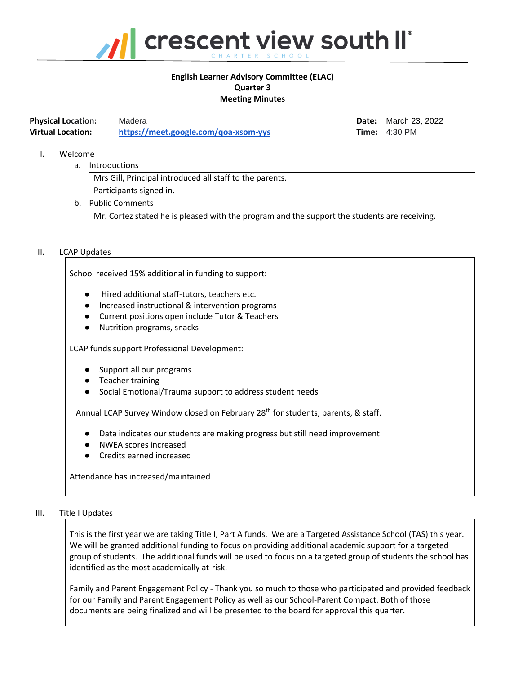

# **English Learner Advisory Committee (ELAC) Quarter 3 Meeting Minutes**

| <b>Physical Location:</b> | Madera                               |
|---------------------------|--------------------------------------|
| <b>Virtual Location:</b>  | https://meet.google.com/goa-xsom-yys |

**Physical Location:** Madera **Date:** March 23, 2022 **Firme:** 4:30 PM

### I. Welcome

a. Introductions

Mrs Gill, Principal introduced all staff to the parents. Participants signed in.

b. Public Comments

Mr. Cortez stated he is pleased with the program and the support the students are receiving.

# II. LCAP Updates

School received 15% additional in funding to support:

- Hired additional staff-tutors, teachers etc.
- Increased instructional & intervention programs
- Current positions open include Tutor & Teachers
- Nutrition programs, snacks

LCAP funds support Professional Development:

- Support all our programs
- Teacher training
- Social Emotional/Trauma support to address student needs

Annual LCAP Survey Window closed on February 28<sup>th</sup> for students, parents, & staff.

- Data indicates our students are making progress but still need improvement
- NWEA scores increased
- Credits earned increased

Attendance has increased/maintained

#### III. Title I Updates

This is the first year we are taking Title I, Part A funds. We are a Targeted Assistance School (TAS) this year. We will be granted additional funding to focus on providing additional academic support for a targeted group of students. The additional funds will be used to focus on a targeted group of students the school has identified as the most academically at-risk.

Family and Parent Engagement Policy - Thank you so much to those who participated and provided feedback for our Family and Parent Engagement Policy as well as our School-Parent Compact. Both of those documents are being finalized and will be presented to the board for approval this quarter.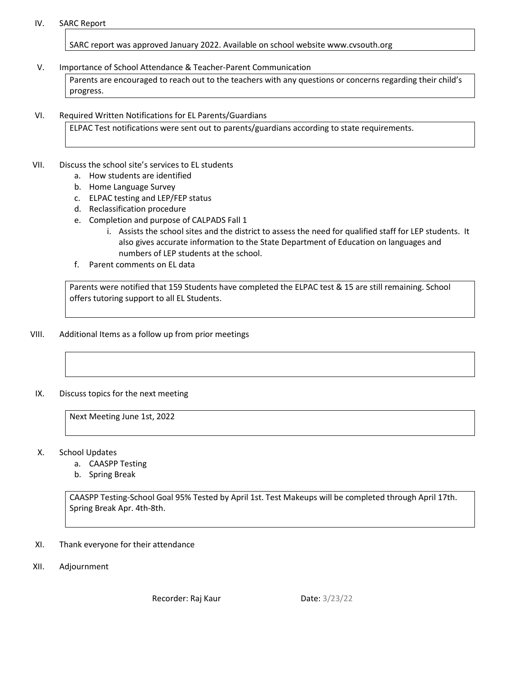### IV. SARC Report

SARC report was approved January 2022. Available on school website www.cvsouth.org

### V. Importance of School Attendance & Teacher-Parent Communication

Parents are encouraged to reach out to the teachers with any questions or concerns regarding their child's progress.

### VI. Required Written Notifications for EL Parents/Guardians

ELPAC Test notifications were sent out to parents/guardians according to state requirements.

### VII. Discuss the school site's services to EL students

- a. How students are identified
- b. Home Language Survey
- c. ELPAC testing and LEP/FEP status
- d. Reclassification procedure
- e. Completion and purpose of CALPADS Fall 1
	- i. Assists the school sites and the district to assess the need for qualified staff for LEP students. It also gives accurate information to the State Department of Education on languages and numbers of LEP students at the school.
- f. Parent comments on EL data

Parents were notified that 159 Students have completed the ELPAC test & 15 are still remaining. School offers tutoring support to all EL Students.

VIII. Additional Items as a follow up from prior meetings

# IX. Discuss topics for the next meeting

Next Meeting June 1st, 2022

- X. School Updates
	- a. CAASPP Testing
	- b. Spring Break

CAASPP Testing-School Goal 95% Tested by April 1st. Test Makeups will be completed through April 17th. Spring Break Apr. 4th-8th.

- XI. Thank everyone for their attendance
- XII. Adjournment

Recorder: Raj Kaur Date: 3/23/22